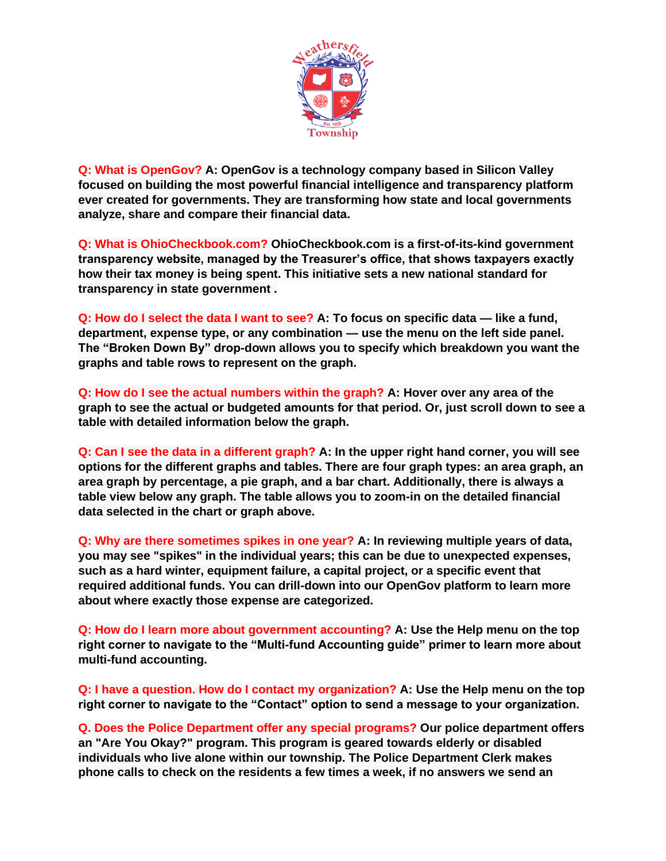

**Q: What is OpenGov? A: OpenGov is a technology company based in Silicon Valley focused on building the most powerful financial intelligence and transparency platform ever created for governments. They are transforming how state and local governments analyze, share and compare their financial data.**

**Q: What is OhioCheckbook.com? OhioCheckbook.com is a first-of-its-kind government transparency website, managed by the Treasurer's office, that shows taxpayers exactly how their tax money is being spent. This initiative sets a new national standard for transparency in state government .**

**Q: How do I select the data I want to see? A: To focus on specific data — like a fund, department, expense type, or any combination — use the menu on the left side panel. The "Broken Down By" drop-down allows you to specify which breakdown you want the graphs and table rows to represent on the graph.**

**Q: How do I see the actual numbers within the graph? A: Hover over any area of the graph to see the actual or budgeted amounts for that period. Or, just scroll down to see a table with detailed information below the graph.**

**Q: Can I see the data in a different graph? A: In the upper right hand corner, you will see options for the different graphs and tables. There are four graph types: an area graph, an area graph by percentage, a pie graph, and a bar chart. Additionally, there is always a table view below any graph. The table allows you to zoom-in on the detailed financial data selected in the chart or graph above.**

**Q: Why are there sometimes spikes in one year? A: In reviewing multiple years of data, you may see "spikes" in the individual years; this can be due to unexpected expenses, such as a hard winter, equipment failure, a capital project, or a specific event that required additional funds. You can drill-down into our OpenGov platform to learn more about where exactly those expense are categorized.**

**Q: How do I learn more about government accounting? A: Use the Help menu on the top right corner to navigate to the "Multi-fund Accounting guide" primer to learn more about multi-fund accounting.**

**Q: I have a question. How do I contact my organization? A: Use the Help menu on the top right corner to navigate to the "Contact" option to send a message to your organization.**

**Q. Does the Police Department offer any special programs? Our police department offers an "Are You Okay?" program. This program is geared towards elderly or disabled individuals who live alone within our township. The Police Department Clerk makes phone calls to check on the residents a few times a week, if no answers we send an**